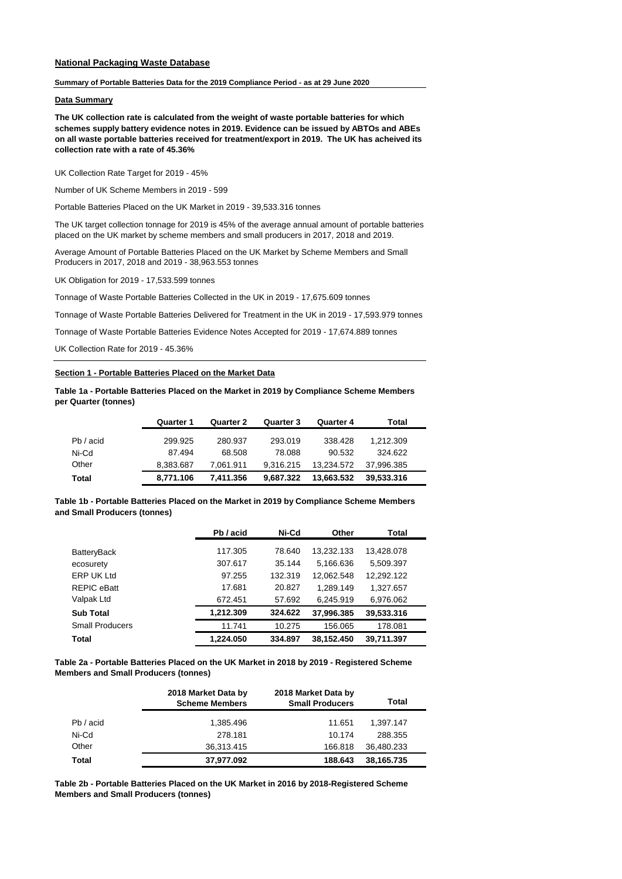# **National Packaging Waste Database**

#### **Summary of Portable Batteries Data for the 2019 Compliance Period - as at 29 June 2020**

### **Data Summary**

**The UK collection rate is calculated from the weight of waste portable batteries for which schemes supply battery evidence notes in 2019. Evidence can be issued by ABTOs and ABEs on all waste portable batteries received for treatment/export in 2019. The UK has acheived its collection rate with a rate of 45.36%**

UK Collection Rate Target for 2019 - 45%

Number of UK Scheme Members in 2019 - 599

Portable Batteries Placed on the UK Market in 2019 - 39,533.316 tonnes

The UK target collection tonnage for 2019 is 45% of the average annual amount of portable batteries placed on the UK market by scheme members and small producers in 2017, 2018 and 2019.

Average Amount of Portable Batteries Placed on the UK Market by Scheme Members and Small Producers in 2017, 2018 and 2019 - 38,963.553 tonnes

UK Obligation for 2019 - 17,533.599 tonnes

Tonnage of Waste Portable Batteries Collected in the UK in 2019 - 17,675.609 tonnes

Tonnage of Waste Portable Batteries Delivered for Treatment in the UK in 2019 - 17,593.979 tonnes

Tonnage of Waste Portable Batteries Evidence Notes Accepted for 2019 - 17,674.889 tonnes

UK Collection Rate for 2019 - 45.36%

## **Section 1 - Portable Batteries Placed on the Market Data**

**Table 1a - Portable Batteries Placed on the Market in 2019 by Compliance Scheme Members per Quarter (tonnes)**

|           | Quarter 1 | Quarter 2 | Quarter 3 | Quarter 4  | Total      |
|-----------|-----------|-----------|-----------|------------|------------|
| Pb / acid | 299.925   | 280.937   | 293.019   | 338.428    | 1.212.309  |
| Ni-Cd     | 87.494    | 68.508    | 78.088    | 90.532     | 324.622    |
| Other     | 8.383.687 | 7.061.911 | 9.316.215 | 13.234.572 | 37.996.385 |
| Total     | 8,771.106 | 7,411.356 | 9.687.322 | 13,663.532 | 39.533.316 |

**Table 1b - Portable Batteries Placed on the Market in 2019 by Compliance Scheme Members and Small Producers (tonnes)**

|                        | Pb / acid | Ni-Cd   | Other      | Total      |  |
|------------------------|-----------|---------|------------|------------|--|
| BatteryBack            | 117.305   | 78.640  | 13,232.133 | 13,428.078 |  |
| ecosurety              | 307.617   | 35.144  | 5,166.636  | 5,509.397  |  |
| <b>ERP UK Ltd</b>      | 97.255    | 132.319 | 12,062.548 | 12,292.122 |  |
| REPIC eBatt            | 17.681    | 20.827  | 1,289.149  | 1,327.657  |  |
| Valpak Ltd             | 672.451   | 57.692  | 6,245.919  | 6,976.062  |  |
| <b>Sub Total</b>       | 1,212.309 | 324.622 | 37,996.385 | 39,533.316 |  |
| <b>Small Producers</b> | 11.741    | 10.275  | 156.065    | 178.081    |  |
| Total                  | 1.224.050 | 334.897 | 38.152.450 | 39.711.397 |  |

**Table 2a - Portable Batteries Placed on the UK Market in 2018 by 2019 - Registered Scheme Members and Small Producers (tonnes)**

|           | 2018 Market Data by<br><b>Scheme Members</b> | 2018 Market Data by<br><b>Small Producers</b> | Total      |
|-----------|----------------------------------------------|-----------------------------------------------|------------|
| Pb / acid | 1,385.496                                    | 11.651                                        | 1.397.147  |
| Ni-Cd     | 278.181                                      | 10.174                                        | 288.355    |
| Other     | 36,313.415                                   | 166.818                                       | 36,480.233 |
| Total     | 37,977.092                                   | 188.643                                       | 38,165.735 |

**Table 2b - Portable Batteries Placed on the UK Market in 2016 by 2018-Registered Scheme Members and Small Producers (tonnes)**